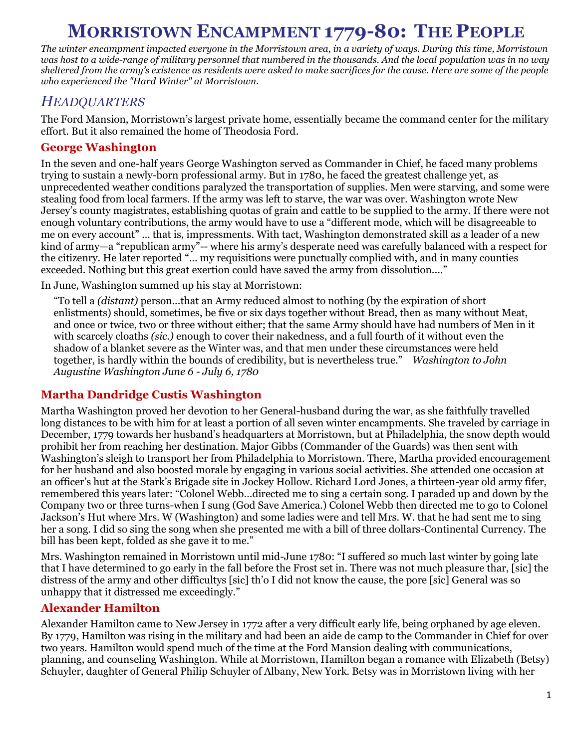# **MORRISTOWN ENCAMPMENT 1779-80: THE PEOPLE**

*The winter encampment impacted everyone in the Morristown area, in a variety of ways. During this time, Morristown was host to a wide-range of military personnel that numbered in the thousands. And the local population was in no way sheltered from the army's existence as residents were asked to make sacrifices for the cause. Here are some of the people who experienced the "Hard Winter" at Morristown.*

# *HEADQUARTERS*

The Ford Mansion, Morristown's largest private home, essentially became the command center for the military effort. But it also remained the home of Theodosia Ford.

## **George Washington**

In the seven and one-half years George Washington served as Commander in Chief, he faced many problems trying to sustain a newly-born professional army. But in 1780, he faced the greatest challenge yet, as unprecedented weather conditions paralyzed the transportation of supplies. Men were starving, and some were stealing food from local farmers. If the army was left to starve, the war was over. Washington wrote New Jersey's county magistrates, establishing quotas of grain and cattle to be supplied to the army. If there were not enough voluntary contributions, the army would have to use a "different mode, which will be disagreeable to me on every account" ... that is, impressments. With tact, Washington demonstrated skill as a leader of a new kind of army—a "republican army"-- where his army's desperate need was carefully balanced with a respect for the citizenry. He later reported "... my requisitions were punctually complied with, and in many counties exceeded. Nothing but this great exertion could have saved the army from dissolution...."

In June, Washington summed up his stay at Morristown:

―To tell a *(distant)* person...that an Army reduced almost to nothing (by the expiration of short enlistments) should, sometimes, be five or six days together without Bread, then as many without Meat, and once or twice, two or three without either; that the same Army should have had numbers of Men in it with scarcely cloaths *(sic.)* enough to cover their nakedness, and a full fourth of it without even the shadow of a blanket severe as the Winter was, and that men under these circumstances were held together, is hardly within the bounds of credibility, but is nevertheless true.‖ *Washington to John Augustine Washington June 6 - July 6, 1780*

## **Martha Dandridge Custis Washington**

Martha Washington proved her devotion to her General-husband during the war, as she faithfully travelled long distances to be with him for at least a portion of all seven winter encampments. She traveled by carriage in December, 1779 towards her husband's headquarters at Morristown, but at Philadelphia, the snow depth would prohibit her from reaching her destination. Major Gibbs (Commander of the Guards) was then sent with Washington's sleigh to transport her from Philadelphia to Morristown. There, Martha provided encouragement for her husband and also boosted morale by engaging in various social activities. She attended one occasion at an officer's hut at the Stark's Brigade site in Jockey Hollow. Richard Lord Jones, a thirteen-year old army fifer, remembered this years later: "Colonel Webb...directed me to sing a certain song. I paraded up and down by the Company two or three turns-when I sung (God Save America.) Colonel Webb then directed me to go to Colonel Jackson's Hut where Mrs. W (Washington) and some ladies were and tell Mrs. W. that he had sent me to sing her a song. I did so sing the song when she presented me with a bill of three dollars-Continental Currency. The bill has been kept, folded as she gave it to me."

Mrs. Washington remained in Morristown until mid-June 1780: "I suffered so much last winter by going late that I have determined to go early in the fall before the Frost set in. There was not much pleasure thar, [sic] the distress of the army and other difficultys [sic] th'o I did not know the cause, the pore [sic] General was so unhappy that it distressed me exceedingly."

## **Alexander Hamilton**

Alexander Hamilton came to New Jersey in 1772 after a very difficult early life, being orphaned by age eleven. By 1779, Hamilton was rising in the military and had been an aide de camp to the Commander in Chief for over two years. Hamilton would spend much of the time at the Ford Mansion dealing with communications, planning, and counseling Washington. While at Morristown, Hamilton began a romance with Elizabeth (Betsy) Schuyler, daughter of General Philip Schuyler of Albany, New York. Betsy was in Morristown living with her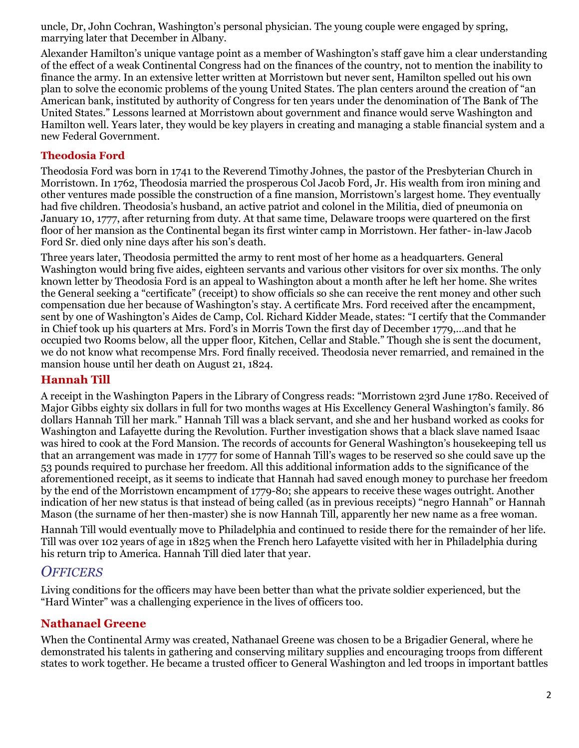uncle, Dr, John Cochran, Washington's personal physician. The young couple were engaged by spring, marrying later that December in Albany.

Alexander Hamilton's unique vantage point as a member of Washington's staff gave him a clear understanding of the effect of a weak Continental Congress had on the finances of the country, not to mention the inability to finance the army. In an extensive letter written at Morristown but never sent, Hamilton spelled out his own plan to solve the economic problems of the young United States. The plan centers around the creation of "an American bank, instituted by authority of Congress for ten years under the denomination of The Bank of The United States.‖ Lessons learned at Morristown about government and finance would serve Washington and Hamilton well. Years later, they would be key players in creating and managing a stable financial system and a new Federal Government.

#### **Theodosia Ford**

Theodosia Ford was born in 1741 to the Reverend Timothy Johnes, the pastor of the Presbyterian Church in Morristown. In 1762, Theodosia married the prosperous Col Jacob Ford, Jr. His wealth from iron mining and other ventures made possible the construction of a fine mansion, Morristown's largest home. They eventually had five children. Theodosia's husband, an active patriot and colonel in the Militia, died of pneumonia on January 10, 1777, after returning from duty. At that same time, Delaware troops were quartered on the first floor of her mansion as the Continental began its first winter camp in Morristown. Her father- in-law Jacob Ford Sr. died only nine days after his son's death.

Three years later, Theodosia permitted the army to rent most of her home as a headquarters. General Washington would bring five aides, eighteen servants and various other visitors for over six months. The only known letter by Theodosia Ford is an appeal to Washington about a month after he left her home. She writes the General seeking a "certificate" (receipt) to show officials so she can receive the rent money and other such compensation due her because of Washington's stay. A certificate Mrs. Ford received after the encampment, sent by one of Washington's Aides de Camp, Col. Richard Kidder Meade, states: "I certify that the Commander in Chief took up his quarters at Mrs. Ford's in Morris Town the first day of December 1779,…and that he occupied two Rooms below, all the upper floor, Kitchen, Cellar and Stable.‖ Though she is sent the document, we do not know what recompense Mrs. Ford finally received. Theodosia never remarried, and remained in the mansion house until her death on August 21, 1824.

#### **Hannah Till**

A receipt in the Washington Papers in the Library of Congress reads: "Morristown 23rd June 1780. Received of Major Gibbs eighty six dollars in full for two months wages at His Excellency General Washington's family. 86 dollars Hannah Till her mark." Hannah Till was a black servant, and she and her husband worked as cooks for Washington and Lafayette during the Revolution. Further investigation shows that a black slave named Isaac was hired to cook at the Ford Mansion. The records of accounts for General Washington's housekeeping tell us that an arrangement was made in 1777 for some of Hannah Till's wages to be reserved so she could save up the 53 pounds required to purchase her freedom. All this additional information adds to the significance of the aforementioned receipt, as it seems to indicate that Hannah had saved enough money to purchase her freedom by the end of the Morristown encampment of 1779-80; she appears to receive these wages outright. Another indication of her new status is that instead of being called (as in previous receipts) "negro Hannah" or Hannah Mason (the surname of her then-master) she is now Hannah Till, apparently her new name as a free woman.

Hannah Till would eventually move to Philadelphia and continued to reside there for the remainder of her life. Till was over 102 years of age in 1825 when the French hero Lafayette visited with her in Philadelphia during his return trip to America. Hannah Till died later that year.

## *OFFICERS*

Living conditions for the officers may have been better than what the private soldier experienced, but the "Hard Winter" was a challenging experience in the lives of officers too.

## **Nathanael Greene**

When the Continental Army was created, Nathanael Greene was chosen to be a Brigadier General, where he demonstrated his talents in gathering and conserving military supplies and encouraging troops from different states to work together. He became a trusted officer to General Washington and led troops in important battles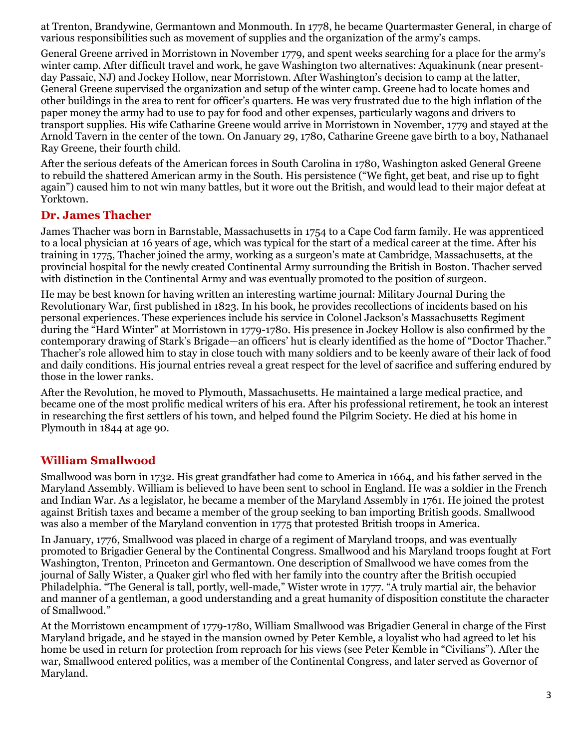at Trenton, Brandywine, Germantown and Monmouth. In 1778, he became Quartermaster General, in charge of various responsibilities such as movement of supplies and the organization of the army's camps.

General Greene arrived in Morristown in November 1779, and spent weeks searching for a place for the army's winter camp. After difficult travel and work, he gave Washington two alternatives: Aquakinunk (near presentday Passaic, NJ) and Jockey Hollow, near Morristown. After Washington's decision to camp at the latter, General Greene supervised the organization and setup of the winter camp. Greene had to locate homes and other buildings in the area to rent for officer's quarters. He was very frustrated due to the high inflation of the paper money the army had to use to pay for food and other expenses, particularly wagons and drivers to transport supplies. His wife Catharine Greene would arrive in Morristown in November, 1779 and stayed at the Arnold Tavern in the center of the town. On January 29, 1780, Catharine Greene gave birth to a boy, Nathanael Ray Greene, their fourth child.

After the serious defeats of the American forces in South Carolina in 1780, Washington asked General Greene to rebuild the shattered American army in the South. His persistence ("We fight, get beat, and rise up to fight again") caused him to not win many battles, but it wore out the British, and would lead to their major defeat at Yorktown.

#### **Dr. James Thacher**

James Thacher was born in Barnstable, Massachusetts in 1754 to a Cape Cod farm family. He was apprenticed to a local physician at 16 years of age, which was typical for the start of a medical career at the time. After his training in 1775, Thacher joined the army, working as a surgeon's mate at Cambridge, Massachusetts, at the provincial hospital for the newly created Continental Army surrounding the British in Boston. Thacher served with distinction in the Continental Army and was eventually promoted to the position of surgeon.

He may be best known for having written an interesting wartime journal: Military Journal During the Revolutionary War, first published in 1823. In his book, he provides recollections of incidents based on his personal experiences. These experiences include his service in Colonel Jackson's Massachusetts Regiment during the "Hard Winter" at Morristown in 1779-1780. His presence in Jockey Hollow is also confirmed by the contemporary drawing of Stark's Brigade—an officers' hut is clearly identified as the home of "Doctor Thacher." Thacher's role allowed him to stay in close touch with many soldiers and to be keenly aware of their lack of food and daily conditions. His journal entries reveal a great respect for the level of sacrifice and suffering endured by those in the lower ranks.

After the Revolution, he moved to Plymouth, Massachusetts. He maintained a large medical practice, and became one of the most prolific medical writers of his era. After his professional retirement, he took an interest in researching the first settlers of his town, and helped found the Pilgrim Society. He died at his home in Plymouth in 1844 at age 90.

## **William Smallwood**

Smallwood was born in 1732. His great grandfather had come to America in 1664, and his father served in the Maryland Assembly. William is believed to have been sent to school in England. He was a soldier in the French and Indian War. As a legislator, he became a member of the Maryland Assembly in 1761. He joined the protest against British taxes and became a member of the group seeking to ban importing British goods. Smallwood was also a member of the Maryland convention in 1775 that protested British troops in America.

In January, 1776, Smallwood was placed in charge of a regiment of Maryland troops, and was eventually promoted to Brigadier General by the Continental Congress. Smallwood and his Maryland troops fought at Fort Washington, Trenton, Princeton and Germantown. One description of Smallwood we have comes from the journal of Sally Wister, a Quaker girl who fled with her family into the country after the British occupied Philadelphia. "The General is tall, portly, well-made," Wister wrote in 1777. "A truly martial air, the behavior and manner of a gentleman, a good understanding and a great humanity of disposition constitute the character of Smallwood."

At the Morristown encampment of 1779-1780, William Smallwood was Brigadier General in charge of the First Maryland brigade, and he stayed in the mansion owned by Peter Kemble, a loyalist who had agreed to let his home be used in return for protection from reproach for his views (see Peter Kemble in "Civilians"). After the war, Smallwood entered politics, was a member of the Continental Congress, and later served as Governor of Maryland.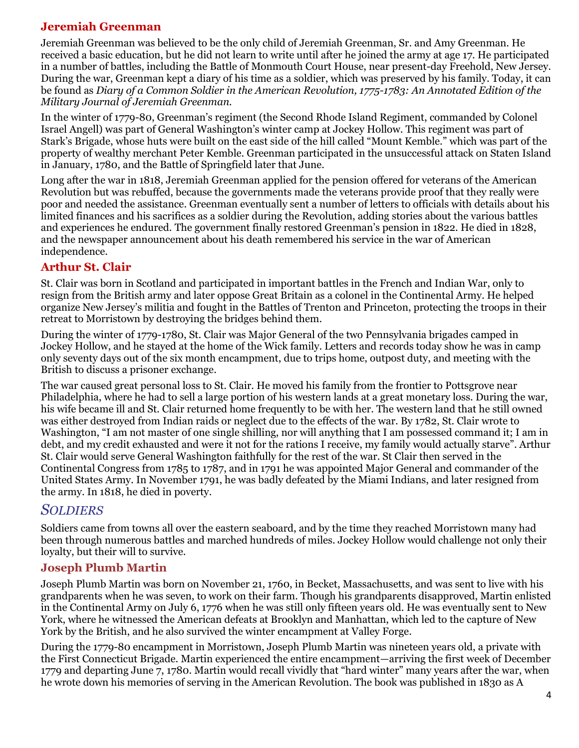## **Jeremiah Greenman**

Jeremiah Greenman was believed to be the only child of Jeremiah Greenman, Sr. and Amy Greenman. He received a basic education, but he did not learn to write until after he joined the army at age 17. He participated in a number of battles, including the Battle of Monmouth Court House, near present-day Freehold, New Jersey. During the war, Greenman kept a diary of his time as a soldier, which was preserved by his family. Today, it can be found as *Diary of a Common Soldier in the American Revolution, 1775-1783: An Annotated Edition of the Military Journal of Jeremiah Greenman.*

In the winter of 1779-80, Greenman's regiment (the Second Rhode Island Regiment, commanded by Colonel Israel Angell) was part of General Washington's winter camp at Jockey Hollow. This regiment was part of Stark's Brigade, whose huts were built on the east side of the hill called "Mount Kemble." which was part of the property of wealthy merchant Peter Kemble. Greenman participated in the unsuccessful attack on Staten Island in January, 1780, and the Battle of Springfield later that June.

Long after the war in 1818, Jeremiah Greenman applied for the pension offered for veterans of the American Revolution but was rebuffed, because the governments made the veterans provide proof that they really were poor and needed the assistance. Greenman eventually sent a number of letters to officials with details about his limited finances and his sacrifices as a soldier during the Revolution, adding stories about the various battles and experiences he endured. The government finally restored Greenman's pension in 1822. He died in 1828, and the newspaper announcement about his death remembered his service in the war of American independence.

## **Arthur St. Clair**

St. Clair was born in Scotland and participated in important battles in the French and Indian War, only to resign from the British army and later oppose Great Britain as a colonel in the Continental Army. He helped organize New Jersey's militia and fought in the Battles of Trenton and Princeton, protecting the troops in their retreat to Morristown by destroying the bridges behind them.

During the winter of 1779-1780, St. Clair was Major General of the two Pennsylvania brigades camped in Jockey Hollow, and he stayed at the home of the Wick family. Letters and records today show he was in camp only seventy days out of the six month encampment, due to trips home, outpost duty, and meeting with the British to discuss a prisoner exchange.

The war caused great personal loss to St. Clair. He moved his family from the frontier to Pottsgrove near Philadelphia, where he had to sell a large portion of his western lands at a great monetary loss. During the war, his wife became ill and St. Clair returned home frequently to be with her. The western land that he still owned was either destroyed from Indian raids or neglect due to the effects of the war. By 1782, St. Clair wrote to Washington, "I am not master of one single shilling, nor will anything that I am possessed command it; I am in debt, and my credit exhausted and were it not for the rations I receive, my family would actually starve". Arthur St. Clair would serve General Washington faithfully for the rest of the war. St Clair then served in the Continental Congress from 1785 to 1787, and in 1791 he was appointed Major General and commander of the United States Army. In November 1791, he was badly defeated by the Miami Indians, and later resigned from the army. In 1818, he died in poverty.

# *SOLDIERS*

Soldiers came from towns all over the eastern seaboard, and by the time they reached Morristown many had been through numerous battles and marched hundreds of miles. Jockey Hollow would challenge not only their loyalty, but their will to survive.

## **Joseph Plumb Martin**

Joseph Plumb Martin was born on November 21, 1760, in Becket, Massachusetts, and was sent to live with his grandparents when he was seven, to work on their farm. Though his grandparents disapproved, Martin enlisted in the Continental Army on July 6, 1776 when he was still only fifteen years old. He was eventually sent to New York, where he witnessed the American defeats at Brooklyn and Manhattan, which led to the capture of New York by the British, and he also survived the winter encampment at Valley Forge.

During the 1779-80 encampment in Morristown, Joseph Plumb Martin was nineteen years old, a private with the First Connecticut Brigade. Martin experienced the entire encampment—arriving the first week of December 1779 and departing June 7, 1780. Martin would recall vividly that "hard winter" many years after the war, when he wrote down his memories of serving in the American Revolution. The book was published in 1830 as A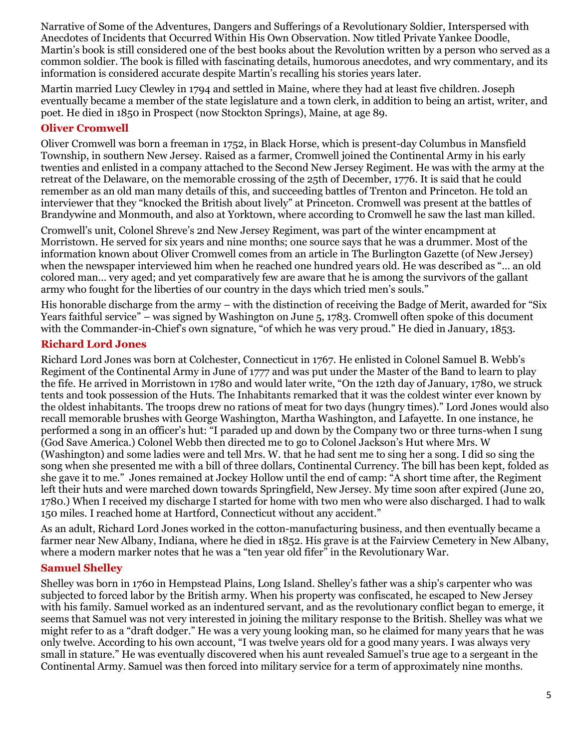Narrative of Some of the Adventures, Dangers and Sufferings of a Revolutionary Soldier, Interspersed with Anecdotes of Incidents that Occurred Within His Own Observation. Now titled Private Yankee Doodle, Martin's book is still considered one of the best books about the Revolution written by a person who served as a common soldier. The book is filled with fascinating details, humorous anecdotes, and wry commentary, and its information is considered accurate despite Martin's recalling his stories years later.

Martin married Lucy Clewley in 1794 and settled in Maine, where they had at least five children. Joseph eventually became a member of the state legislature and a town clerk, in addition to being an artist, writer, and poet. He died in 1850 in Prospect (now Stockton Springs), Maine, at age 89.

## **Oliver Cromwell**

Oliver Cromwell was born a freeman in 1752, in Black Horse, which is present-day Columbus in Mansfield Township, in southern New Jersey. Raised as a farmer, Cromwell joined the Continental Army in his early twenties and enlisted in a company attached to the Second New Jersey Regiment. He was with the army at the retreat of the Delaware, on the memorable crossing of the 25th of December, 1776. It is said that he could remember as an old man many details of this, and succeeding battles of Trenton and Princeton. He told an interviewer that they "knocked the British about lively" at Princeton. Cromwell was present at the battles of Brandywine and Monmouth, and also at Yorktown, where according to Cromwell he saw the last man killed.

Cromwell's unit, Colonel Shreve's 2nd New Jersey Regiment, was part of the winter encampment at Morristown. He served for six years and nine months; one source says that he was a drummer. Most of the information known about Oliver Cromwell comes from an article in The Burlington Gazette (of New Jersey) when the newspaper interviewed him when he reached one hundred years old. He was described as "... an old colored man… very aged; and yet comparatively few are aware that he is among the survivors of the gallant army who fought for the liberties of our country in the days which tried men's souls."

His honorable discharge from the army – with the distinction of receiving the Badge of Merit, awarded for "Six" Years faithful service" – was signed by Washington on June 5, 1783. Cromwell often spoke of this document with the Commander-in-Chief's own signature, "of which he was very proud." He died in January, 1853.

## **Richard Lord Jones**

Richard Lord Jones was born at Colchester, Connecticut in 1767. He enlisted in Colonel Samuel B. Webb's Regiment of the Continental Army in June of 1777 and was put under the Master of the Band to learn to play the fife. He arrived in Morristown in 1780 and would later write, "On the 12th day of January, 1780, we struck tents and took possession of the Huts. The Inhabitants remarked that it was the coldest winter ever known by the oldest inhabitants. The troops drew no rations of meat for two days (hungry times).‖ Lord Jones would also recall memorable brushes with George Washington, Martha Washington, and Lafayette. In one instance, he performed a song in an officer's hut: "I paraded up and down by the Company two or three turns-when I sung (God Save America.) Colonel Webb then directed me to go to Colonel Jackson's Hut where Mrs. W (Washington) and some ladies were and tell Mrs. W. that he had sent me to sing her a song. I did so sing the song when she presented me with a bill of three dollars, Continental Currency. The bill has been kept, folded as she gave it to me." Jones remained at Jockey Hollow until the end of camp: "A short time after, the Regiment left their huts and were marched down towards Springfield, New Jersey. My time soon after expired (June 20, 1780.) When I received my discharge I started for home with two men who were also discharged. I had to walk 150 miles. I reached home at Hartford, Connecticut without any accident."

As an adult, Richard Lord Jones worked in the cotton-manufacturing business, and then eventually became a farmer near New Albany, Indiana, where he died in 1852. His grave is at the Fairview Cemetery in New Albany, where a modern marker notes that he was a "ten year old fifer" in the Revolutionary War.

#### **Samuel Shelley**

Shelley was born in 1760 in Hempstead Plains, Long Island. Shelley's father was a ship's carpenter who was subjected to forced labor by the British army. When his property was confiscated, he escaped to New Jersey with his family. Samuel worked as an indentured servant, and as the revolutionary conflict began to emerge, it seems that Samuel was not very interested in joining the military response to the British. Shelley was what we might refer to as a "draft dodger." He was a very young looking man, so he claimed for many years that he was only twelve. According to his own account, "I was twelve years old for a good many years. I was always very small in stature." He was eventually discovered when his aunt revealed Samuel's true age to a sergeant in the Continental Army. Samuel was then forced into military service for a term of approximately nine months.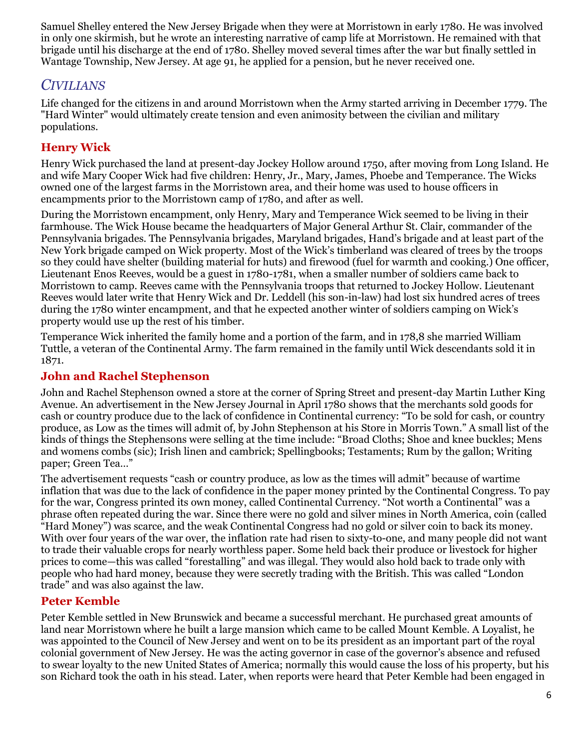Samuel Shelley entered the New Jersey Brigade when they were at Morristown in early 1780. He was involved in only one skirmish, but he wrote an interesting narrative of camp life at Morristown. He remained with that brigade until his discharge at the end of 1780. Shelley moved several times after the war but finally settled in Wantage Township, New Jersey. At age 91, he applied for a pension, but he never received one.

# *CIVILIANS*

Life changed for the citizens in and around Morristown when the Army started arriving in December 1779. The "Hard Winter" would ultimately create tension and even animosity between the civilian and military populations.

## **Henry Wick**

Henry Wick purchased the land at present-day Jockey Hollow around 1750, after moving from Long Island. He and wife Mary Cooper Wick had five children: Henry, Jr., Mary, James, Phoebe and Temperance. The Wicks owned one of the largest farms in the Morristown area, and their home was used to house officers in encampments prior to the Morristown camp of 1780, and after as well.

During the Morristown encampment, only Henry, Mary and Temperance Wick seemed to be living in their farmhouse. The Wick House became the headquarters of Major General Arthur St. Clair, commander of the Pennsylvania brigades. The Pennsylvania brigades, Maryland brigades, Hand's brigade and at least part of the New York brigade camped on Wick property. Most of the Wick's timberland was cleared of trees by the troops so they could have shelter (building material for huts) and firewood (fuel for warmth and cooking.) One officer, Lieutenant Enos Reeves, would be a guest in 1780-1781, when a smaller number of soldiers came back to Morristown to camp. Reeves came with the Pennsylvania troops that returned to Jockey Hollow. Lieutenant Reeves would later write that Henry Wick and Dr. Leddell (his son-in-law) had lost six hundred acres of trees during the 1780 winter encampment, and that he expected another winter of soldiers camping on Wick's property would use up the rest of his timber.

Temperance Wick inherited the family home and a portion of the farm, and in 178,8 she married William Tuttle, a veteran of the Continental Army. The farm remained in the family until Wick descendants sold it in 1871.

## **John and Rachel Stephenson**

John and Rachel Stephenson owned a store at the corner of Spring Street and present-day Martin Luther King Avenue. An advertisement in the New Jersey Journal in April 1780 shows that the merchants sold goods for cash or country produce due to the lack of confidence in Continental currency: "To be sold for cash, or country produce, as Low as the times will admit of, by John Stephenson at his Store in Morris Town.‖ A small list of the kinds of things the Stephensons were selling at the time include: "Broad Cloths; Shoe and knee buckles; Mens and womens combs (sic); Irish linen and cambrick; Spellingbooks; Testaments; Rum by the gallon; Writing paper; Green Tea..."

The advertisement requests "cash or country produce, as low as the times will admit" because of wartime inflation that was due to the lack of confidence in the paper money printed by the Continental Congress. To pay for the war, Congress printed its own money, called Continental Currency. "Not worth a Continental" was a phrase often repeated during the war. Since there were no gold and silver mines in North America, coin (called ―Hard Money‖) was scarce, and the weak Continental Congress had no gold or silver coin to back its money. With over four years of the war over, the inflation rate had risen to sixty-to-one, and many people did not want to trade their valuable crops for nearly worthless paper. Some held back their produce or livestock for higher prices to come—this was called "forestalling" and was illegal. They would also hold back to trade only with people who had hard money, because they were secretly trading with the British. This was called "London" trade" and was also against the law.

## **Peter Kemble**

Peter Kemble settled in New Brunswick and became a successful merchant. He purchased great amounts of land near Morristown where he built a large mansion which came to be called Mount Kemble. A Loyalist, he was appointed to the Council of New Jersey and went on to be its president as an important part of the royal colonial government of New Jersey. He was the acting governor in case of the governor's absence and refused to swear loyalty to the new United States of America; normally this would cause the loss of his property, but his son Richard took the oath in his stead. Later, when reports were heard that Peter Kemble had been engaged in